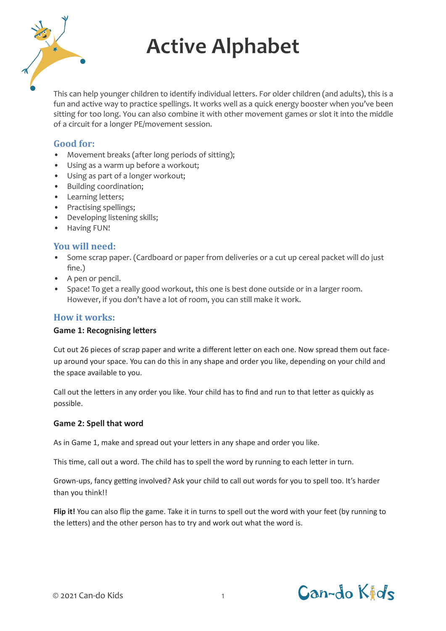

# **Active Alphabet**

This can help younger children to identify individual letters. For older children (and adults), this is a fun and active way to practice spellings. It works well as a quick energy booster when you've been sitting for too long. You can also combine it with other movement games or slot it into the middle of a circuit for a longer PE/movement session.

# **Good for:**

- Movement breaks (after long periods of sitting);
- Using as a warm up before a workout;
- Using as part of a longer workout;
- Building coordination;
- Learning letters;
- Practising spellings;
- Developing listening skills;
- Having FUN!

# **You will need:**

- Some scrap paper. (Cardboard or paper from deliveries or a cut up cereal packet will do just fine.)
- A pen or pencil.
- Space! To get a really good workout, this one is best done outside or in a larger room. However, if you don't have a lot of room, you can still make it work.

# **How it works:**

#### **Game 1: Recognising letters**

Cut out 26 pieces of scrap paper and write a different letter on each one. Now spread them out faceup around your space. You can do this in any shape and order you like, depending on your child and the space available to you.

Call out the letters in any order you like. Your child has to find and run to that letter as quickly as possible.

#### **Game 2: Spell that word**

As in Game 1, make and spread out your letters in any shape and order you like.

This time, call out a word. The child has to spell the word by running to each letter in turn.

Grown-ups, fancy getting involved? Ask your child to call out words for you to spell too. It's harder than you think!!

**Flip it!** You can also flip the game. Take it in turns to spell out the word with your feet (by running to the letters) and the other person has to try and work out what the word is.